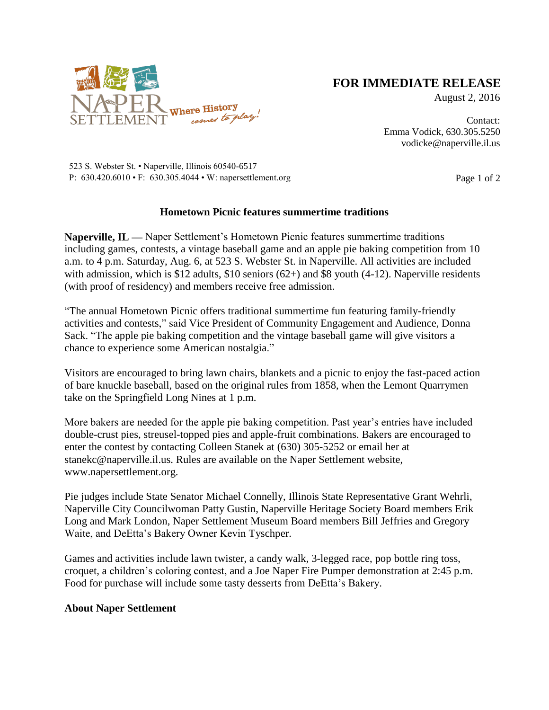

## **FOR IMMEDIATE RELEASE**

August 2, 2016

Contact: Emma Vodick, 630.305.5250 vodicke@naperville.il.us

523 S. Webster St. • Naperville, Illinois 60540-6517 P:  $630.420.6010 \cdot F$ :  $630.305.4044 \cdot W$ : napersettlement.org Page 1 of 2

## **Hometown Picnic features summertime traditions**

**Naperville, IL —** Naper Settlement's Hometown Picnic features summertime traditions including games, contests, a vintage baseball game and an apple pie baking competition from 10 a.m. to 4 p.m. Saturday, Aug. 6, at 523 S. Webster St. in Naperville. All activities are included with admission, which is \$12 adults, \$10 seniors  $(62+)$  and \$8 youth  $(4-12)$ . Naperville residents (with proof of residency) and members receive free admission.

"The annual Hometown Picnic offers traditional summertime fun featuring family-friendly activities and contests," said Vice President of Community Engagement and Audience, Donna Sack. "The apple pie baking competition and the vintage baseball game will give visitors a chance to experience some American nostalgia."

Visitors are encouraged to bring lawn chairs, blankets and a picnic to enjoy the fast-paced action of bare knuckle baseball, based on the original rules from 1858, when the Lemont Quarrymen take on the Springfield Long Nines at 1 p.m.

More bakers are needed for the apple pie baking competition. Past year's entries have included double-crust pies, streusel-topped pies and apple-fruit combinations. Bakers are encouraged to enter the contest by contacting Colleen Stanek at (630) 305-5252 or email her at stanekc@naperville.il.us. Rules are available on the Naper Settlement website, www.napersettlement.org.

Pie judges include State Senator Michael Connelly, Illinois State Representative Grant Wehrli, Naperville City Councilwoman Patty Gustin, Naperville Heritage Society Board members Erik Long and Mark London, Naper Settlement Museum Board members Bill Jeffries and Gregory Waite, and DeEtta's Bakery Owner Kevin Tyschper.

Games and activities include lawn twister, a candy walk, 3-legged race, pop bottle ring toss, croquet, a children's coloring contest, and a Joe Naper Fire Pumper demonstration at 2:45 p.m. Food for purchase will include some tasty desserts from DeEtta's Bakery.

## **About Naper Settlement**